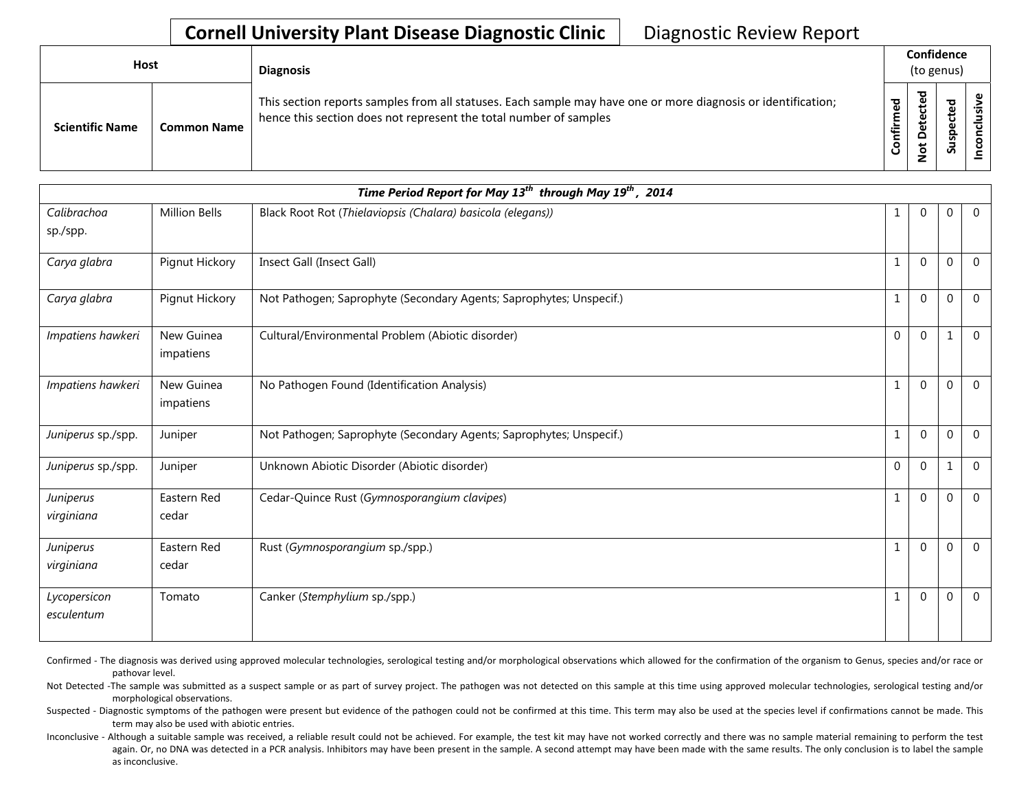## **Cornell University Plant Disease Diagnostic Clinic** | Diagnostic Review Report

| <b>Host</b>                                  | <b>Diagnosis</b>                                                                                                                                                                   | Confidence<br>(to genus)     |              |        |  |
|----------------------------------------------|------------------------------------------------------------------------------------------------------------------------------------------------------------------------------------|------------------------------|--------------|--------|--|
| <b>Scientific Name</b><br><b>Common Name</b> | This section reports samples from all statuses. Each sample may have one or more diagnosis or identification;<br>hence this section does not represent the total number of samples | ठ<br>Φ<br>٤<br><u>infiri</u> | ъ<br>e,<br>۵ | ௨<br>ഗ |  |

| Time Period Report for May 13 <sup>th</sup> through May 19 <sup>th</sup> , 2014 |                         |                                                                     |              |                |              |                |
|---------------------------------------------------------------------------------|-------------------------|---------------------------------------------------------------------|--------------|----------------|--------------|----------------|
| Calibrachoa<br>sp./spp.                                                         | Million Bells           | Black Root Rot (Thielaviopsis (Chalara) basicola (elegans))         | 1            | $\overline{0}$ | 0            | $\mathbf{0}$   |
| Carya glabra                                                                    | Pignut Hickory          | Insect Gall (Insect Gall)                                           | 1            | $\Omega$       | $\mathbf{0}$ | $\overline{0}$ |
| Carya glabra                                                                    | Pignut Hickory          | Not Pathogen; Saprophyte (Secondary Agents; Saprophytes; Unspecif.) | $\mathbf{1}$ | $\Omega$       | $\mathbf{0}$ | $\mathbf 0$    |
| Impatiens hawkeri                                                               | New Guinea<br>impatiens | Cultural/Environmental Problem (Abiotic disorder)                   | $\mathbf{0}$ | $\Omega$       | $\mathbf{1}$ | $\Omega$       |
| Impatiens hawkeri                                                               | New Guinea<br>impatiens | No Pathogen Found (Identification Analysis)                         | $\mathbf{1}$ | $\Omega$       | $\mathbf{0}$ | $\mathbf{0}$   |
| Juniperus sp./spp.                                                              | Juniper                 | Not Pathogen; Saprophyte (Secondary Agents; Saprophytes; Unspecif.) | $\mathbf{1}$ | $\mathbf{0}$   | $\mathbf 0$  | $\overline{0}$ |
| Juniperus sp./spp.                                                              | Juniper                 | Unknown Abiotic Disorder (Abiotic disorder)                         | $\Omega$     | $\Omega$       | $\mathbf 1$  | $\overline{0}$ |
| Juniperus<br>virginiana                                                         | Eastern Red<br>cedar    | Cedar-Quince Rust (Gymnosporangium clavipes)                        | $\mathbf{1}$ | $\Omega$       | $\Omega$     | $\mathbf{0}$   |
| Juniperus<br>virginiana                                                         | Eastern Red<br>cedar    | Rust (Gymnosporangium sp./spp.)                                     | 1            | $\Omega$       | $\mathbf 0$  | $\Omega$       |
| Lycopersicon<br>esculentum                                                      | Tomato                  | Canker (Stemphylium sp./spp.)                                       | 1            | $\mathbf 0$    | $\mathbf 0$  | $\mathbf{0}$   |

Confirmed - The diagnosis was derived using approved molecular technologies, serological testing and/or morphological observations which allowed for the confirmation of the organism to Genus, species and/or race or pathovar level.

Not Detected -The sample was submitted as a suspect sample or as part of survey project. The pathogen was not detected on this sample at this time using approved molecular technologies, serological testing and/or morphological observations.

Suspected - Diagnostic symptoms of the pathogen were present but evidence of the pathogen could not be confirmed at this time. This term may also be used at the species level if confirmations cannot be made. This term may also be used with abiotic entries.

Inconclusive - Although a suitable sample was received, a reliable result could not be achieved. For example, the test kit may have not worked correctly and there was no sample material remaining to perform the test again. Or, no DNA was detected in a PCR analysis. Inhibitors may have been present in the sample. A second attempt may have been made with the same results. The only conclusion is to label the sample as inconclusive.